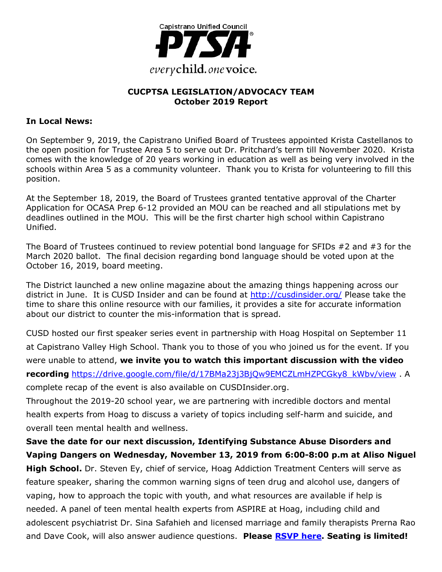

### **CUCPTSA LEGISLATION/ADVOCACY TEAM October 2019 Report**

### **In Local News:**

On September 9, 2019, the Capistrano Unified Board of Trustees appointed Krista Castellanos to the open position for Trustee Area 5 to serve out Dr. Pritchard's term till November 2020. Krista comes with the knowledge of 20 years working in education as well as being very involved in the schools within Area 5 as a community volunteer. Thank you to Krista for volunteering to fill this position.

At the September 18, 2019, the Board of Trustees granted tentative approval of the Charter Application for OCASA Prep 6-12 provided an MOU can be reached and all stipulations met by deadlines outlined in the MOU. This will be the first charter high school within Capistrano Unified.

The Board of Trustees continued to review potential bond language for SFIDs #2 and #3 for the March 2020 ballot. The final decision regarding bond language should be voted upon at the October 16, 2019, board meeting.

The District launched a new online magazine about the amazing things happening across our district in June. It is CUSD Insider and can be found at http://cusdinsider.org/ Please take the time to share this online resource with our families, it provides a site for accurate information about our district to counter the mis-information that is spread.

CUSD hosted our first speaker series event in partnership with Hoag Hospital on September 11 at Capistrano Valley High School. Thank you to those of you who joined us for the event. If you were unable to attend, **we invite you to watch this important discussion with the video recording** https://drive.google.com/file/d/17BMa23j3BjQw9EMCZLmHZPCGky8\_kWbv/view . A complete recap of the event is also available on CUSDInsider.org.

Throughout the 2019-20 school year, we are partnering with incredible doctors and mental health experts from Hoag to discuss a variety of topics including self-harm and suicide, and overall teen mental health and wellness.

**Save the date for our next discussion, Identifying Substance Abuse Disorders and Vaping Dangers on Wednesday, November 13, 2019 from 6:00-8:00 p.m at Aliso Niguel High School.** Dr. Steven Ey, chief of service, Hoag Addiction Treatment Centers will serve as feature speaker, sharing the common warning signs of teen drug and alcohol use, dangers of vaping, how to approach the topic with youth, and what resources are available if help is needed. A panel of teen mental health experts from ASPIRE at Hoag, including child and adolescent psychiatrist Dr. Sina Safahieh and licensed marriage and family therapists Prerna Rao and Dave Cook, will also answer audience questions. **Please RSVP here. Seating is limited!**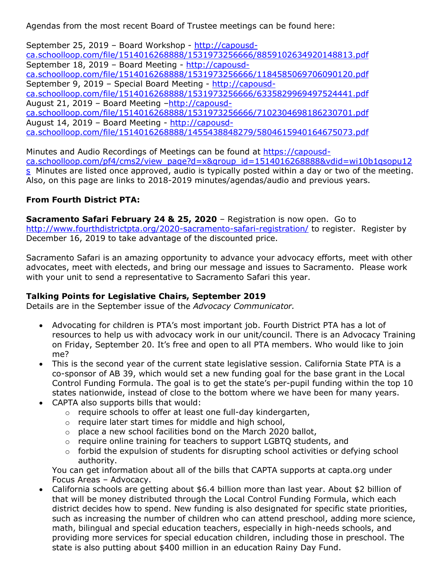Agendas from the most recent Board of Trustee meetings can be found here:

September 25, 2019 – Board Workshop - http://capousdca.schoolloop.com/file/1514016268888/1531973256666/8859102634920148813.pdf September 18, 2019 – Board Meeting - http://capousdca.schoolloop.com/file/1514016268888/1531973256666/1184585069706090120.pdf September 9, 2019 – Special Board Meeting - http://capousdca.schoolloop.com/file/1514016268888/1531973256666/6335829969497524441.pdf August 21, 2019 - Board Meeting -http://capousdca.schoolloop.com/file/1514016268888/1531973256666/7102304698186230701.pdf August 14, 2019 – Board Meeting - http://capousdca.schoolloop.com/file/1514016268888/1455438848279/5804615940164675073.pdf

Minutes and Audio Recordings of Meetings can be found at https://capousdca.schoolloop.com/pf4/cms2/view\_page?d=x&group\_id=1514016268888&vdid=wi10b1qsopu12 s Minutes are listed once approved, audio is typically posted within a day or two of the meeting. Also, on this page are links to 2018-2019 minutes/agendas/audio and previous years.

### **From Fourth District PTA:**

**Sacramento Safari February 24 & 25, 2020** – Registration is now open. Go to http://www.fourthdistrictpta.org/2020-sacramento-safari-registration/ to register. Register by December 16, 2019 to take advantage of the discounted price.

Sacramento Safari is an amazing opportunity to advance your advocacy efforts, meet with other advocates, meet with electeds, and bring our message and issues to Sacramento. Please work with your unit to send a representative to Sacramento Safari this year.

# **Talking Points for Legislative Chairs, September 2019**

Details are in the September issue of the *Advocacy Communicator.*

- Advocating for children is PTA's most important job. Fourth District PTA has a lot of resources to help us with advocacy work in our unit/council. There is an Advocacy Training on Friday, September 20. It's free and open to all PTA members. Who would like to join me?
- This is the second year of the current state legislative session. California State PTA is a co-sponsor of AB 39, which would set a new funding goal for the base grant in the Local Control Funding Formula. The goal is to get the state's per-pupil funding within the top 10 states nationwide, instead of close to the bottom where we have been for many years.
- CAPTA also supports bills that would:
	- o require schools to offer at least one full-day kindergarten,
	- o require later start times for middle and high school,
	- $\circ$  place a new school facilities bond on the March 2020 ballot,
	- o require online training for teachers to support LGBTQ students, and
	- $\circ$  forbid the expulsion of students for disrupting school activities or defying school authority.

You can get information about all of the bills that CAPTA supports at capta.org under Focus Areas – Advocacy.

• California schools are getting about \$6.4 billion more than last year. About \$2 billion of that will be money distributed through the Local Control Funding Formula, which each district decides how to spend. New funding is also designated for specific state priorities, such as increasing the number of children who can attend preschool, adding more science, math, bilingual and special education teachers, especially in high-needs schools, and providing more services for special education children, including those in preschool. The state is also putting about \$400 million in an education Rainy Day Fund.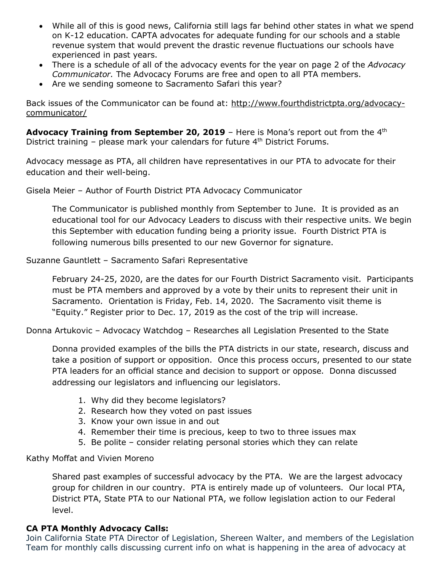- While all of this is good news, California still lags far behind other states in what we spend on K-12 education. CAPTA advocates for adequate funding for our schools and a stable revenue system that would prevent the drastic revenue fluctuations our schools have experienced in past years.
- There is a schedule of all of the advocacy events for the year on page 2 of the *Advocacy Communicator.* The Advocacy Forums are free and open to all PTA members.
- Are we sending someone to Sacramento Safari this year?

Back issues of the Communicator can be found at: http://www.fourthdistrictpta.org/advocacycommunicator/

**Advocacy Training from September 20, 2019** - Here is Mona's report out from the 4<sup>th</sup> District training – please mark your calendars for future  $4<sup>th</sup>$  District Forums.

Advocacy message as PTA, all children have representatives in our PTA to advocate for their education and their well-being.

Gisela Meier – Author of Fourth District PTA Advocacy Communicator

The Communicator is published monthly from September to June. It is provided as an educational tool for our Advocacy Leaders to discuss with their respective units. We begin this September with education funding being a priority issue. Fourth District PTA is following numerous bills presented to our new Governor for signature.

Suzanne Gauntlett – Sacramento Safari Representative

February 24-25, 2020, are the dates for our Fourth District Sacramento visit. Participants must be PTA members and approved by a vote by their units to represent their unit in Sacramento. Orientation is Friday, Feb. 14, 2020. The Sacramento visit theme is "Equity." Register prior to Dec. 17, 2019 as the cost of the trip will increase.

Donna Artukovic – Advocacy Watchdog – Researches all Legislation Presented to the State

Donna provided examples of the bills the PTA districts in our state, research, discuss and take a position of support or opposition. Once this process occurs, presented to our state PTA leaders for an official stance and decision to support or oppose. Donna discussed addressing our legislators and influencing our legislators.

- 1. Why did they become legislators?
- 2. Research how they voted on past issues
- 3. Know your own issue in and out
- 4. Remember their time is precious, keep to two to three issues max
- 5. Be polite consider relating personal stories which they can relate

### Kathy Moffat and Vivien Moreno

Shared past examples of successful advocacy by the PTA. We are the largest advocacy group for children in our country. PTA is entirely made up of volunteers. Our local PTA, District PTA, State PTA to our National PTA, we follow legislation action to our Federal level.

# **CA PTA Monthly Advocacy Calls:**

Join California State PTA Director of Legislation, Shereen Walter, and members of the Legislation Team for monthly calls discussing current info on what is happening in the area of advocacy at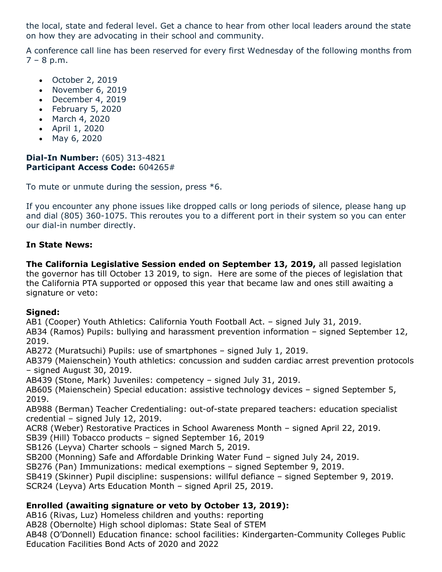the local, state and federal level. Get a chance to hear from other local leaders around the state on how they are advocating in their school and community.

A conference call line has been reserved for every first Wednesday of the following months from  $7 - 8$  p.m.

- October 2, 2019
- November 6, 2019
- December 4, 2019
- February 5, 2020
- March 4, 2020
- April 1, 2020
- May 6, 2020

### **Dial-In Number:** (605) 313-4821 **Participant Access Code:** 604265#

To mute or unmute during the session, press \*6.

If you encounter any phone issues like dropped calls or long periods of silence, please hang up and dial (805) 360-1075. This reroutes you to a different port in their system so you can enter our dial-in number directly.

# **In State News:**

**The California Legislative Session ended on September 13, 2019,** all passed legislation the governor has till October 13 2019, to sign. Here are some of the pieces of legislation that the California PTA supported or opposed this year that became law and ones still awaiting a signature or veto:

# **Signed:**

AB1 (Cooper) Youth Athletics: California Youth Football Act. – signed July 31, 2019.

AB34 (Ramos) Pupils: bullying and harassment prevention information – signed September 12, 2019.

AB272 (Muratsuchi) Pupils: use of smartphones – signed July 1, 2019.

AB379 (Maienschein) Youth athletics: concussion and sudden cardiac arrest prevention protocols – signed August 30, 2019.

AB439 (Stone, Mark) Juveniles: competency – signed July 31, 2019.

AB605 (Maienschein) Special education: assistive technology devices – signed September 5, 2019.

AB988 (Berman) Teacher Credentialing: out-of-state prepared teachers: education specialist credential – signed July 12, 2019.

ACR8 (Weber) Restorative Practices in School Awareness Month – signed April 22, 2019.

SB39 (Hill) Tobacco products – signed September 16, 2019

SB126 (Leyva) Charter schools – signed March 5, 2019.

SB200 (Monning) Safe and Affordable Drinking Water Fund – signed July 24, 2019.

SB276 (Pan) Immunizations: medical exemptions – signed September 9, 2019.

SB419 (Skinner) Pupil discipline: suspensions: willful defiance – signed September 9, 2019.

SCR24 (Leyva) Arts Education Month – signed April 25, 2019.

# **Enrolled (awaiting signature or veto by October 13, 2019):**

AB16 (Rivas, Luz) Homeless children and youths: reporting

AB28 (Obernolte) High school diplomas: State Seal of STEM

AB48 (O'Donnell) Education finance: school facilities: Kindergarten-Community Colleges Public Education Facilities Bond Acts of 2020 and 2022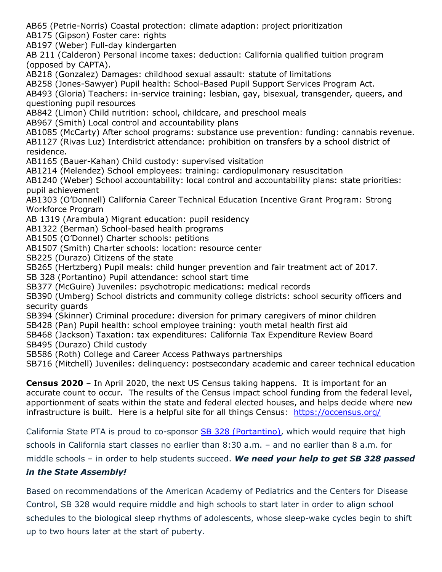AB65 (Petrie-Norris) Coastal protection: climate adaption: project prioritization

AB175 (Gipson) Foster care: rights

AB197 (Weber) Full-day kindergarten

AB 211 (Calderon) Personal income taxes: deduction: California qualified tuition program (opposed by CAPTA).

AB218 (Gonzalez) Damages: childhood sexual assault: statute of limitations

AB258 (Jones-Sawyer) Pupil health: School-Based Pupil Support Services Program Act.

AB493 (Gloria) Teachers: in-service training: lesbian, gay, bisexual, transgender, queers, and questioning pupil resources

AB842 (Limon) Child nutrition: school, childcare, and preschool meals

AB967 (Smith) Local control and accountability plans

AB1085 (McCarty) After school programs: substance use prevention: funding: cannabis revenue. AB1127 (Rivas Luz) Interdistrict attendance: prohibition on transfers by a school district of residence.

AB1165 (Bauer-Kahan) Child custody: supervised visitation

AB1214 (Melendez) School employees: training: cardiopulmonary resuscitation

AB1240 (Weber) School accountability: local control and accountability plans: state priorities: pupil achievement

AB1303 (O'Donnell) California Career Technical Education Incentive Grant Program: Strong Workforce Program

AB 1319 (Arambula) Migrant education: pupil residency

AB1322 (Berman) School-based health programs

AB1505 (O'Donnel) Charter schools: petitions

AB1507 (Smith) Charter schools: location: resource center

SB225 (Durazo) Citizens of the state

SB265 (Hertzberg) Pupil meals: child hunger prevention and fair treatment act of 2017.

SB 328 (Portantino) Pupil attendance: school start time

SB377 (McGuire) Juveniles: psychotropic medications: medical records

SB390 (Umberg) School districts and community college districts: school security officers and security guards

SB394 (Skinner) Criminal procedure: diversion for primary caregivers of minor children

SB428 (Pan) Pupil health: school employee training: youth metal health first aid

SB468 (Jackson) Taxation: tax expenditures: California Tax Expenditure Review Board

SB495 (Durazo) Child custody

SB586 (Roth) College and Career Access Pathways partnerships

SB716 (Mitchell) Juveniles: delinquency: postsecondary academic and career technical education

**Census 2020** – In April 2020, the next US Census taking happens. It is important for an accurate count to occur. The results of the Census impact school funding from the federal level, apportionment of seats within the state and federal elected houses, and helps decide where new infrastructure is built. Here is a helpful site for all things Census: https://occensus.org/

California State PTA is proud to co-sponsor SB 328 (Portantino), which would require that high

schools in California start classes no earlier than 8:30 a.m. – and no earlier than 8 a.m. for

middle schools – in order to help students succeed. *We need your help to get SB 328 passed* 

# *in the State Assembly!*

Based on recommendations of the American Academy of Pediatrics and the Centers for Disease Control, SB 328 would require middle and high schools to start later in order to align school schedules to the biological sleep rhythms of adolescents, whose sleep-wake cycles begin to shift up to two hours later at the start of puberty.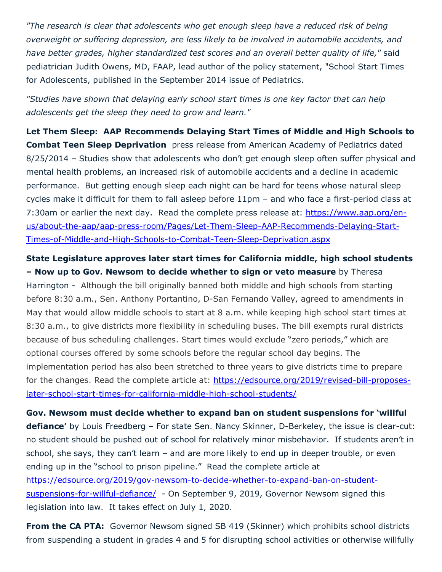*"The research is clear that adolescents who get enough sleep have a reduced risk of being overweight or suffering depression, are less likely to be involved in automobile accidents, and have better grades, higher standardized test scores and an overall better quality of life,"* said pediatrician Judith Owens, MD, FAAP, lead author of the policy statement, "School Start Times for Adolescents, published in the September 2014 issue of Pediatrics.

*"Studies have shown that delaying early school start times is one key factor that can help adolescents get the sleep they need to grow and learn."*

**Let Them Sleep: AAP Recommends Delaying Start Times of Middle and High Schools to Combat Teen Sleep Deprivation** press release from American Academy of Pediatrics dated 8/25/2014 – Studies show that adolescents who don't get enough sleep often suffer physical and mental health problems, an increased risk of automobile accidents and a decline in academic performance. But getting enough sleep each night can be hard for teens whose natural sleep cycles make it difficult for them to fall asleep before 11pm – and who face a first-period class at 7:30am or earlier the next day. Read the complete press release at: https://www.aap.org/enus/about-the-aap/aap-press-room/Pages/Let-Them-Sleep-AAP-Recommends-Delaying-Start-Times-of-Middle-and-High-Schools-to-Combat-Teen-Sleep-Deprivation.aspx

**State Legislature approves later start times for California middle, high school students – Now up to Gov. Newsom to decide whether to sign or veto measure** by Theresa Harrington - Although the bill originally banned both middle and high schools from starting before 8:30 a.m., Sen. Anthony Portantino, D-San Fernando Valley, agreed to amendments in May that would allow middle schools to start at 8 a.m. while keeping high school start times at 8:30 a.m., to give districts more flexibility in scheduling buses. The bill exempts rural districts because of bus scheduling challenges. Start times would exclude "zero periods," which are optional courses offered by some schools before the regular school day begins. The implementation period has also been stretched to three years to give districts time to prepare for the changes. Read the complete article at: https://edsource.org/2019/revised-bill-proposeslater-school-start-times-for-california-middle-high-school-students/

**Gov. Newsom must decide whether to expand ban on student suspensions for 'willful defiance'** by Louis Freedberg – For state Sen. Nancy Skinner, D-Berkeley, the issue is clear-cut: no student should be pushed out of school for relatively minor misbehavior. If students aren't in school, she says, they can't learn – and are more likely to end up in deeper trouble, or even ending up in the "school to prison pipeline." Read the complete article at https://edsource.org/2019/gov-newsom-to-decide-whether-to-expand-ban-on-studentsuspensions-for-willful-defiance/ - On September 9, 2019, Governor Newsom signed this legislation into law. It takes effect on July 1, 2020.

**From the CA PTA:** Governor Newsom signed SB 419 (Skinner) which prohibits school districts from suspending a student in grades 4 and 5 for disrupting school activities or otherwise willfully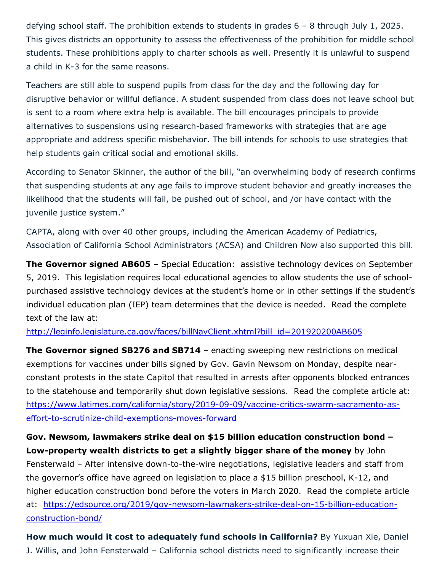defying school staff. The prohibition extends to students in grades 6 – 8 through July 1, 2025. This gives districts an opportunity to assess the effectiveness of the prohibition for middle school students. These prohibitions apply to charter schools as well. Presently it is unlawful to suspend a child in K-3 for the same reasons.

Teachers are still able to suspend pupils from class for the day and the following day for disruptive behavior or willful defiance. A student suspended from class does not leave school but is sent to a room where extra help is available. The bill encourages principals to provide alternatives to suspensions using research-based frameworks with strategies that are age appropriate and address specific misbehavior. The bill intends for schools to use strategies that help students gain critical social and emotional skills.

According to Senator Skinner, the author of the bill, "an overwhelming body of research confirms that suspending students at any age fails to improve student behavior and greatly increases the likelihood that the students will fail, be pushed out of school, and /or have contact with the juvenile justice system."

CAPTA, along with over 40 other groups, including the American Academy of Pediatrics, Association of California School Administrators (ACSA) and Children Now also supported this bill.

**The Governor signed AB605** - Special Education: assistive technology devices on September 5, 2019. This legislation requires local educational agencies to allow students the use of schoolpurchased assistive technology devices at the student's home or in other settings if the student's individual education plan (IEP) team determines that the device is needed. Read the complete text of the law at:

### http://leginfo.legislature.ca.gov/faces/billNavClient.xhtml?bill\_id=201920200AB605

**The Governor signed SB276 and SB714** – enacting sweeping new restrictions on medical exemptions for vaccines under bills signed by Gov. Gavin Newsom on Monday, despite nearconstant protests in the state Capitol that resulted in arrests after opponents blocked entrances to the statehouse and temporarily shut down legislative sessions. Read the complete article at: https://www.latimes.com/california/story/2019-09-09/vaccine-critics-swarm-sacramento-aseffort-to-scrutinize-child-exemptions-moves-forward

**Gov. Newsom, lawmakers strike deal on \$15 billion education construction bond – Low-property wealth districts to get a slightly bigger share of the money** by John Fensterwald – After intensive down-to-the-wire negotiations, legislative leaders and staff from the governor's office have agreed on legislation to place a \$15 billion preschool, K-12, and higher education construction bond before the voters in March 2020. Read the complete article at: https://edsource.org/2019/gov-newsom-lawmakers-strike-deal-on-15-billion-educationconstruction-bond/

**How much would it cost to adequately fund schools in California?** By Yuxuan Xie, Daniel J. Willis, and John Fensterwald – California school districts need to significantly increase their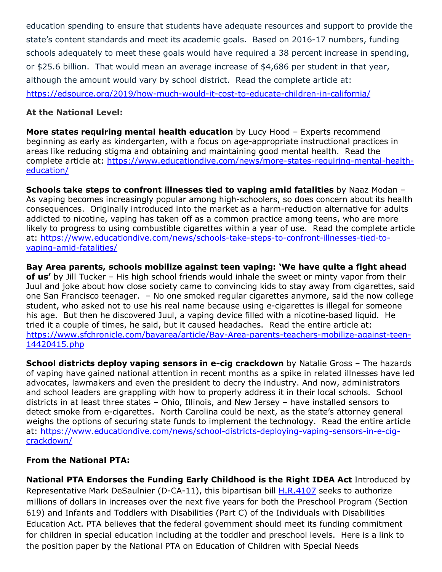education spending to ensure that students have adequate resources and support to provide the state's content standards and meet its academic goals. Based on 2016-17 numbers, funding schools adequately to meet these goals would have required a 38 percent increase in spending, or \$25.6 billion. That would mean an average increase of \$4,686 per student in that year, although the amount would vary by school district. Read the complete article at: https://edsource.org/2019/how-much-would-it-cost-to-educate-children-in-california/

### **At the National Level:**

**More states requiring mental health education** by Lucy Hood – Experts recommend beginning as early as kindergarten, with a focus on age-appropriate instructional practices in areas like reducing stigma and obtaining and maintaining good mental health. Read the complete article at: https://www.educationdive.com/news/more-states-requiring-mental-healtheducation/

**Schools take steps to confront illnesses tied to vaping amid fatalities** by Naaz Modan – As vaping becomes increasingly popular among high-schoolers, so does concern about its health consequences. Originally introduced into the market as a harm-reduction alternative for adults addicted to nicotine, vaping has taken off as a common practice among teens, who are more likely to progress to using combustible cigarettes within a year of use. Read the complete article at: https://www.educationdive.com/news/schools-take-steps-to-confront-illnesses-tied-tovaping-amid-fatalities/

**Bay Area parents, schools mobilize against teen vaping: 'We have quite a fight ahead of us'** by Jill Tucker – His high school friends would inhale the sweet or minty vapor from their Juul and joke about how close society came to convincing kids to stay away from cigarettes, said one San Francisco teenager. – No one smoked regular cigarettes anymore, said the now college student, who asked not to use his real name because using e-cigarettes is illegal for someone his age. But then he discovered Juul, a vaping device filled with a nicotine-based liquid. He tried it a couple of times, he said, but it caused headaches. Read the entire article at: https://www.sfchronicle.com/bayarea/article/Bay-Area-parents-teachers-mobilize-against-teen-14420415.php

**School districts deploy vaping sensors in e-cig crackdown** by Natalie Gross – The hazards of vaping have gained national attention in recent months as a spike in related illnesses have led advocates, lawmakers and even the president to decry the industry. And now, administrators and school leaders are grappling with how to properly address it in their local schools. School districts in at least three states – Ohio, Illinois, and New Jersey – have installed sensors to detect smoke from e-cigarettes. North Carolina could be next, as the state's attorney general weighs the options of securing state funds to implement the technology. Read the entire article at: https://www.educationdive.com/news/school-districts-deploying-vaping-sensors-in-e-cigcrackdown/

# **From the National PTA:**

**National PTA Endorses the Funding Early Childhood is the Right IDEA Act** Introduced by Representative Mark DeSaulnier (D-CA-11), this bipartisan bill H.R.4107 seeks to authorize millions of dollars in increases over the next five years for both the Preschool Program (Section 619) and Infants and Toddlers with Disabilities (Part C) of the Individuals with Disabilities Education Act. PTA believes that the federal government should meet its funding commitment for children in special education including at the toddler and preschool levels. Here is a link to the position paper by the National PTA on Education of Children with Special Needs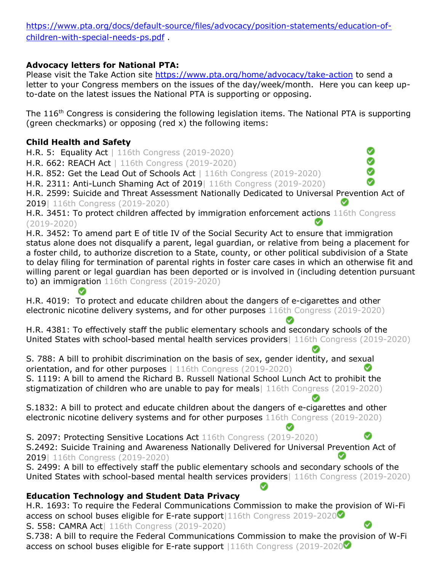https://www.pta.org/docs/default-source/files/advocacy/position-statements/education-ofchildren-with-special-needs-ps.pdf .

### **Advocacy letters for National PTA:**

Please visit the Take Action site https://www.pta.org/home/advocacy/take-action to send a letter to your Congress members on the issues of the day/week/month. Here you can keep upto-date on the latest issues the National PTA is supporting or opposing.

The 116<sup>th</sup> Congress is considering the following legislation items. The National PTA is supporting (green checkmarks) or opposing (red x) the following items:

# **Child Health and Safety**

 $\bullet$ 

H.R. 5: Equality Act | 116th Congress (2019-2020)

H.R. 662: REACH Act | 116th Congress (2019-2020)

H.R. 852: Get the Lead Out of Schools Act | 116th Congress (2019-2020)

H.R. 2311: Anti-Lunch Shaming Act of 2019| 116th Congress (2019-2020)

H.R. 2599: Suicide and Threat Assessment Nationally Dedicated to Universal Prevention Act of 2019| 116th Congress (2019-2020)

H.R. 3451: To protect children affected by immigration enforcement actions 116th Congress (2019-2020)

H.R. 3452: To amend part E of title IV of the Social Security Act to ensure that immigration status alone does not disqualify a parent, legal guardian, or relative from being a placement for a foster child, to authorize discretion to a State, county, or other political subdivision of a State to delay filing for termination of parental rights in foster care cases in which an otherwise fit and willing parent or legal guardian has been deported or is involved in (including detention pursuant to) an immigration 116th Congress (2019-2020)

H.R. 4019: To protect and educate children about the dangers of e-cigarettes and other electronic nicotine delivery systems, and for other purposes 116th Congress (2019-2020)

H.R. 4381: To effectively staff the public elementary schools and secondary schools of the United States with school-based mental health services providers| 116th Congress (2019-2020)

S. 788: A bill to prohibit discrimination on the basis of sex, gender identity, and sexual orientation, and for other purposes | 116th Congress (2019-2020) S. 1119: A bill to amend the Richard B. Russell National School Lunch Act to prohibit the stigmatization of children who are unable to pay for meals | 116th Congress (2019-2020)

S.1832: A bill to protect and educate children about the dangers of e-cigarettes and other electronic nicotine delivery systems and for other purposes 116th Congress (2019-2020)

S. 2097: Protecting Sensitive Locations Act 116th Congress (2019-2020) S.2492: Suicide Training and Awareness Nationally Delivered for Universal Prevention Act of 2019| 116th Congress (2019-2020)

S. 2499: A bill to effectively staff the public elementary schools and secondary schools of the United States with school-based mental health services providers| 116th Congress (2019-2020)

Ø

# **Education Technology and Student Data Privacy**

H.R. 1693: To require the Federal Communications Commission to make the provision of Wi-Fi access on school buses eligible for E-rate support 116th Congress 2019-2020 S. 558: CAMRA Act| 116th Congress (2019-2020) S.738: A bill to require the Federal Communications Commission to make the provision of W-Fi access on school buses eligible for E-rate support |116th Congress (2019-2020 $\blacksquare$